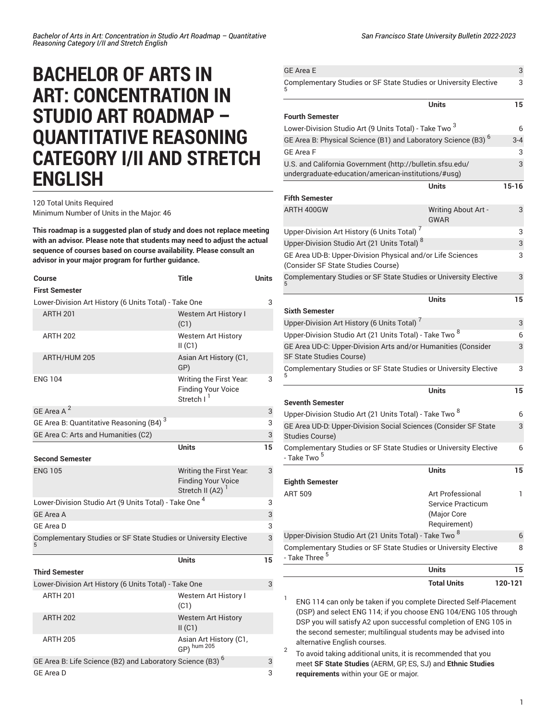## **BACHELOR OF ARTS IN ART: CONCENTRATION IN STUDIO ART ROADMAP – QUANTITATIVE REASONING CATEGORY I/II AND STRETCH ENGLISH**

120 Total Units Required Minimum Number of Units in the Major: 46

**This roadmap is a suggested plan of study and does not replace meeting with an advisor. Please note that students may need to adjust the actual sequence of courses based on course availability. Please consult an advisor in your major program for further guidance.**

| Course<br><b>First Semester</b>                                       | Title                                                                                | Units |
|-----------------------------------------------------------------------|--------------------------------------------------------------------------------------|-------|
| Lower-Division Art History (6 Units Total) - Take One                 |                                                                                      |       |
| <b>ARTH 201</b>                                                       | Western Art History I<br>(C1)                                                        |       |
| <b>ARTH 202</b>                                                       | <b>Western Art History</b><br>II(C1)                                                 |       |
| ARTH/HUM 205                                                          | Asian Art History (C1,<br>GP)                                                        |       |
| <b>ENG 104</b>                                                        | Writing the First Year.<br><b>Finding Your Voice</b><br>Stretch I <sup>1</sup>       | 3     |
| GE Area A <sup>2</sup>                                                |                                                                                      | 3     |
| GE Area B: Quantitative Reasoning (B4) <sup>3</sup>                   |                                                                                      | 3     |
| GE Area C: Arts and Humanities (C2)                                   |                                                                                      | 3     |
|                                                                       | <b>Units</b>                                                                         | 15    |
| <b>Second Semester</b>                                                |                                                                                      |       |
| <b>ENG 105</b>                                                        | Writing the First Year.<br><b>Finding Your Voice</b><br>Stretch II (A2) <sup>1</sup> | 3     |
| Lower-Division Studio Art (9 Units Total) - Take One <sup>4</sup>     |                                                                                      |       |
| <b>GE Area A</b>                                                      |                                                                                      | 3     |
| <b>GE Area D</b>                                                      |                                                                                      | 3     |
| Complementary Studies or SF State Studies or University Elective      |                                                                                      |       |
|                                                                       | Units                                                                                | 15    |
| <b>Third Semester</b>                                                 |                                                                                      |       |
| Lower-Division Art History (6 Units Total) - Take One                 |                                                                                      | 3     |
| <b>ARTH 201</b>                                                       | Western Art History I<br>(C1)                                                        |       |
| <b>ARTH 202</b>                                                       | <b>Western Art History</b><br>II(C1)                                                 |       |
| <b>ARTH 205</b>                                                       | Asian Art History (C1,<br>GP) hum 205                                                |       |
| GE Area B: Life Science (B2) and Laboratory Science (B3) <sup>6</sup> |                                                                                      |       |
| GE Area D                                                             |                                                                                      | 3     |

|                                                                                                                                        | <b>Total Units</b>                        | 120-121   |
|----------------------------------------------------------------------------------------------------------------------------------------|-------------------------------------------|-----------|
|                                                                                                                                        | Units                                     | 15        |
| - Take Three <sup>5</sup>                                                                                                              |                                           | 8         |
| Upper-Division Studio Art (21 Units Total) - Take Two <sup>8</sup><br>Complementary Studies or SF State Studies or University Elective |                                           |           |
|                                                                                                                                        | (Major Core<br>Requirement)               | 6         |
| <b>ART 509</b>                                                                                                                         | Art Professional<br>Service Practicum     | 1         |
| <b>Eighth Semester</b>                                                                                                                 |                                           |           |
|                                                                                                                                        | Units                                     | 15        |
| Complementary Studies or SF State Studies or University Elective<br>- Take Two <sup>5</sup>                                            |                                           | 6         |
| GE Area UD-D: Upper-Division Social Sciences (Consider SF State<br>Studies Course)                                                     |                                           | 3         |
| Upper-Division Studio Art (21 Units Total) - Take Two <sup>8</sup>                                                                     |                                           |           |
| Seventh Semester                                                                                                                       | <b>Units</b>                              | 15        |
| Complementary Studies or SF State Studies or University Elective                                                                       |                                           | 3         |
| GE Area UD-C: Upper-Division Arts and/or Humanities (Consider<br>SF State Studies Course)                                              |                                           | 3         |
| Upper-Division Studio Art (21 Units Total) - Take Two 8                                                                                |                                           | 6         |
| Upper-Division Art History (6 Units Total) <sup>7</sup>                                                                                |                                           | 3         |
| <b>Sixth Semester</b>                                                                                                                  | Units                                     | 15        |
| Complementary Studies or SF State Studies or University Elective                                                                       |                                           | 3         |
| GE Area UD-B: Upper-Division Physical and/or Life Sciences<br>(Consider SF State Studies Course)                                       |                                           | 3         |
| Upper-Division Studio Art (21 Units Total) <sup>8</sup>                                                                                |                                           | 3         |
| Upper-Division Art History (6 Units Total) <sup>7</sup>                                                                                |                                           | 3         |
| ARTH 400GW                                                                                                                             | <b>Writing About Art -</b><br><b>GWAR</b> | 3         |
| <b>Fifth Semester</b>                                                                                                                  | Units                                     | $15 - 16$ |
| U.S. and California Government (http://bulletin.sfsu.edu/<br>undergraduate-education/american-institutions/#usg)                       |                                           | 3         |
| <b>GE Area F</b>                                                                                                                       |                                           | 3         |
| GE Area B: Physical Science (B1) and Laboratory Science (B3) <sup>6</sup>                                                              |                                           | $3 - 4$   |
| Lower-Division Studio Art (9 Units Total) - Take Two <sup>3</sup>                                                                      |                                           | 6         |
| <b>Fourth Semester</b>                                                                                                                 | <b>Units</b>                              | 15        |
| Complementary Studies or SF State Studies or University Elective                                                                       |                                           | 3         |
| <b>GE Area E</b>                                                                                                                       |                                           | 3         |

ENG 114 can only be taken if you complete Directed Self-Placement (DSP) and select ENG 114; if you choose ENG 104/ENG 105 through DSP you will satisfy A2 upon successful completion of ENG 105 in the second semester; multilingual students may be advised into alternative English courses.

2 To avoid taking additional units, it is recommended that you meet **SF State Studies** (AERM, GP, ES, SJ) and **Ethnic Studies requirements** within your GE or major.